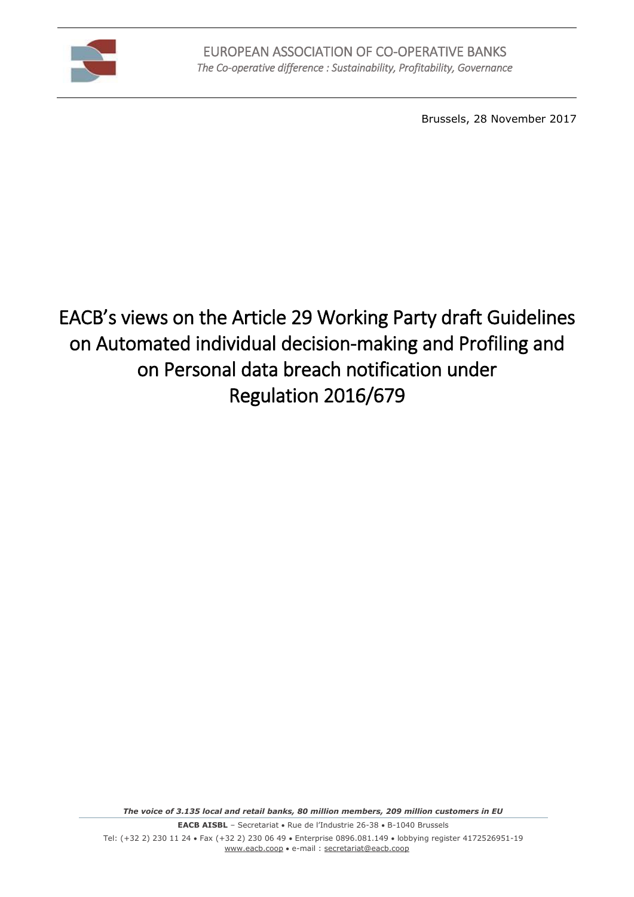

Brussels, 28 November 2017

# EACB's views on the Article 29 Working Party draft Guidelines on Automated individual decision-making and Profiling and on Personal data breach notification under Regulation 2016/679

*The voice of 3.135 local and retail banks, 80 million members, 209 million customers in EU*

**EACB AISBL** – Secretariat • Rue de l'Industrie 26-38 • B-1040 Brussels

Tel: (+32 2) 230 11 24 · Fax (+32 2) 230 06 49 · Enterprise 0896.081.149 · lobbying register 4172526951-19 [www.eacb.coop](http://www.eacb.coop/) e-mail [: secretariat@eacb.coop](mailto:secretariat@eacb.coop)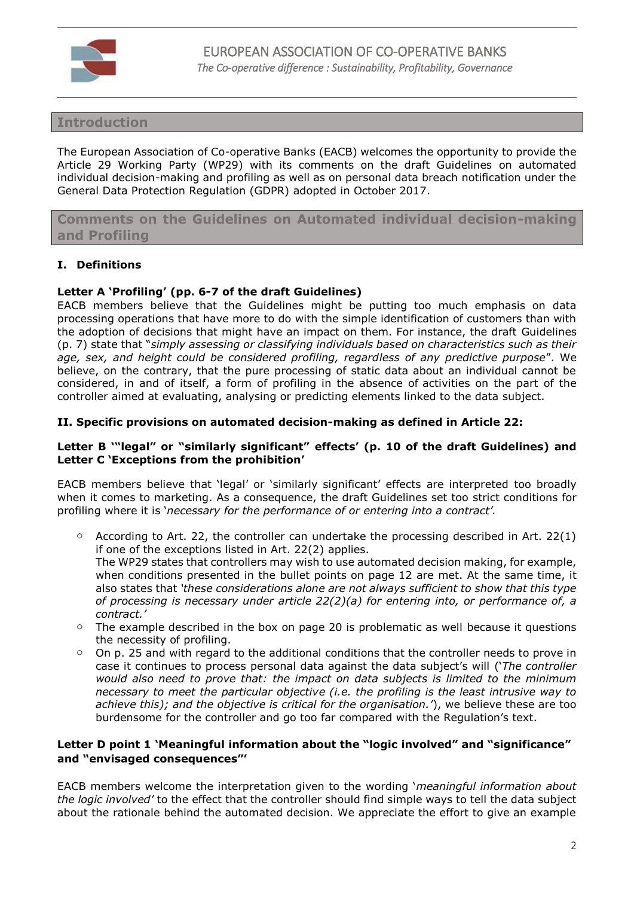

# **Introduction**

The European Association of Co-operative Banks (EACB) welcomes the opportunity to provide the Article 29 Working Party (WP29) with its comments on the draft Guidelines on automated individual decision-making and profiling as well as on personal data breach notification under the General Data Protection Regulation (GDPR) adopted in October 2017.

**Comments on the Guidelines on Automated individual decision-making and Profiling**

## **I. Definitions**

## **Letter A 'Profiling' (pp. 6-7 of the draft Guidelines)**

EACB members believe that the Guidelines might be putting too much emphasis on data processing operations that have more to do with the simple identification of customers than with the adoption of decisions that might have an impact on them. For instance, the draft Guidelines (p. 7) state that "*simply assessing or classifying individuals based on characteristics such as their age, sex, and height could be considered profiling, regardless of any predictive purpose*". We believe, on the contrary, that the pure processing of static data about an individual cannot be considered, in and of itself, a form of profiling in the absence of activities on the part of the controller aimed at evaluating, analysing or predicting elements linked to the data subject.

#### **II. Specific provisions on automated decision-making as defined in Article 22:**

## **Letter B '"legal" or "similarly significant" effects' (p. 10 of the draft Guidelines) and Letter C 'Exceptions from the prohibition'**

EACB members believe that 'legal' or 'similarly significant' effects are interpreted too broadly when it comes to marketing. As a consequence, the draft Guidelines set too strict conditions for profiling where it is '*necessary for the performance of or entering into a contract'.*

- $\circ$  According to Art. 22, the controller can undertake the processing described in Art. 22(1) if one of the exceptions listed in Art. 22(2) applies. The WP29 states that controllers may wish to use automated decision making, for example, when conditions presented in the bullet points on page 12 are met. At the same time, it also states that *'these considerations alone are not always sufficient to show that this type of processing is necessary under article 22(2)(a) for entering into, or performance of, a contract.'*
- $\circ$  The example described in the box on page 20 is problematic as well because it questions the necessity of profiling.
- o On p. 25 and with regard to the additional conditions that the controller needs to prove in case it continues to process personal data against the data subject's will ('*The controller would also need to prove that: the impact on data subjects is limited to the minimum necessary to meet the particular objective (i.e. the profiling is the least intrusive way to achieve this); and the objective is critical for the organisation.'*), we believe these are too burdensome for the controller and go too far compared with the Regulation's text.

## **Letter D point 1 'Meaningful information about the "logic involved" and "significance" and "envisaged consequences"'**

EACB members welcome the interpretation given to the wording '*meaningful information about the logic involved'* to the effect that the controller should find simple ways to tell the data subject about the rationale behind the automated decision. We appreciate the effort to give an example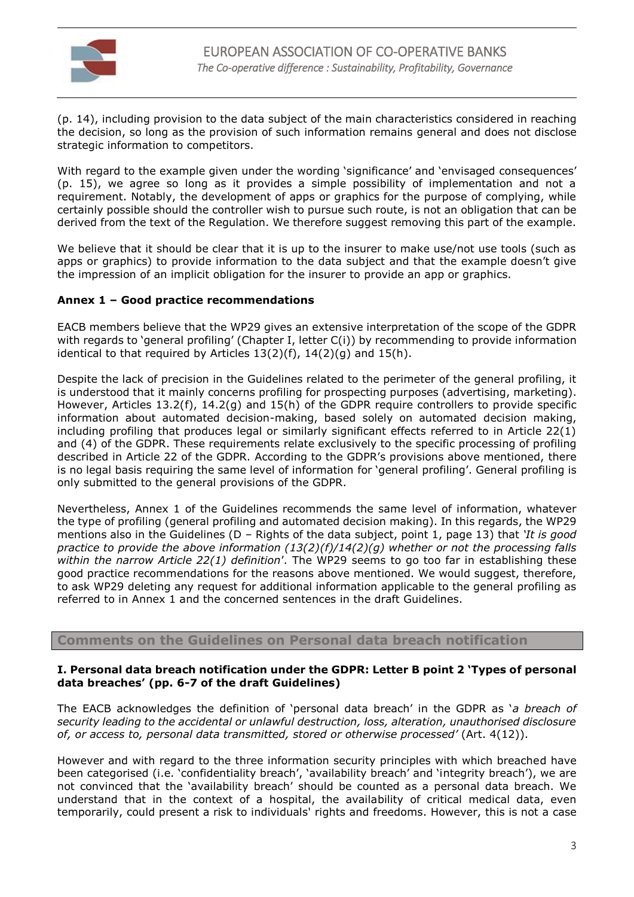

(p. 14), including provision to the data subject of the main characteristics considered in reaching the decision, so long as the provision of such information remains general and does not disclose strategic information to competitors.

With regard to the example given under the wording 'significance' and 'envisaged consequences' (p. 15), we agree so long as it provides a simple possibility of implementation and not a requirement. Notably, the development of apps or graphics for the purpose of complying, while certainly possible should the controller wish to pursue such route, is not an obligation that can be derived from the text of the Regulation. We therefore suggest removing this part of the example.

We believe that it should be clear that it is up to the insurer to make use/not use tools (such as apps or graphics) to provide information to the data subject and that the example doesn't give the impression of an implicit obligation for the insurer to provide an app or graphics.

# **Annex 1 – Good practice recommendations**

EACB members believe that the WP29 gives an extensive interpretation of the scope of the GDPR with regards to 'general profiling' (Chapter I, letter C(i)) by recommending to provide information identical to that required by Articles  $13(2)(f)$ ,  $14(2)(g)$  and  $15(h)$ .

Despite the lack of precision in the Guidelines related to the perimeter of the general profiling, it is understood that it mainly concerns profiling for prospecting purposes (advertising, marketing). However, Articles 13.2(f), 14.2(g) and 15(h) of the GDPR require controllers to provide specific information about automated decision-making, based solely on automated decision making, including profiling that produces legal or similarly significant effects referred to in Article 22(1) and (4) of the GDPR. These requirements relate exclusively to the specific processing of profiling described in Article 22 of the GDPR. According to the GDPR's provisions above mentioned, there is no legal basis requiring the same level of information for 'general profiling'. General profiling is only submitted to the general provisions of the GDPR.

Nevertheless, Annex 1 of the Guidelines recommends the same level of information, whatever the type of profiling (general profiling and automated decision making). In this regards, the WP29 mentions also in the Guidelines (D – Rights of the data subject, point 1, page 13) that *'It is good practice to provide the above information (13(2)(f)/14(2)(g) whether or not the processing falls within the narrow Article 22(1) definition*'. The WP29 seems to go too far in establishing these good practice recommendations for the reasons above mentioned. We would suggest, therefore, to ask WP29 deleting any request for additional information applicable to the general profiling as referred to in Annex 1 and the concerned sentences in the draft Guidelines.

# **Comments on the Guidelines on Personal data breach notification**

#### **I. Personal data breach notification under the GDPR: Letter B point 2 'Types of personal data breaches' (pp. 6-7 of the draft Guidelines)**

The EACB acknowledges the definition of 'personal data breach' in the GDPR as '*a breach of security leading to the accidental or unlawful destruction, loss, alteration, unauthorised disclosure of, or access to, personal data transmitted, stored or otherwise processed'* (Art. 4(12)).

However and with regard to the three information security principles with which breached have been categorised (i.e. 'confidentiality breach', 'availability breach' and 'integrity breach'), we are not convinced that the 'availability breach' should be counted as a personal data breach. We understand that in the context of a hospital, the availability of critical medical data, even temporarily, could present a risk to individuals' rights and freedoms. However, this is not a case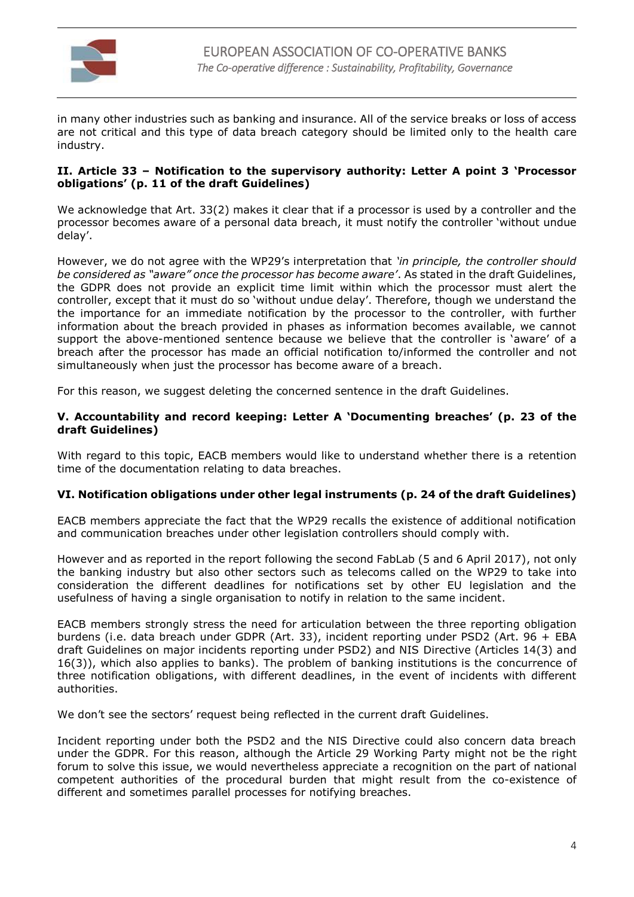

in many other industries such as banking and insurance. All of the service breaks or loss of access are not critical and this type of data breach category should be limited only to the health care industry.

## **II. Article 33 – Notification to the supervisory authority: Letter A point 3 'Processor obligations' (p. 11 of the draft Guidelines)**

We acknowledge that Art. 33(2) makes it clear that if a processor is used by a controller and the processor becomes aware of a personal data breach, it must notify the controller 'without undue delay'.

However, we do not agree with the WP29's interpretation that *'in principle, the controller should be considered as "aware" once the processor has become aware'*. As stated in the draft Guidelines, the GDPR does not provide an explicit time limit within which the processor must alert the controller, except that it must do so 'without undue delay'. Therefore, though we understand the the importance for an immediate notification by the processor to the controller, with further information about the breach provided in phases as information becomes available, we cannot support the above-mentioned sentence because we believe that the controller is 'aware' of a breach after the processor has made an official notification to/informed the controller and not simultaneously when just the processor has become aware of a breach.

For this reason, we suggest deleting the concerned sentence in the draft Guidelines.

## **V. Accountability and record keeping: Letter A 'Documenting breaches' (p. 23 of the draft Guidelines)**

With regard to this topic, EACB members would like to understand whether there is a retention time of the documentation relating to data breaches.

# **VI. Notification obligations under other legal instruments (p. 24 of the draft Guidelines)**

EACB members appreciate the fact that the WP29 recalls the existence of additional notification and communication breaches under other legislation controllers should comply with.

However and as reported in the report following the second FabLab (5 and 6 April 2017), not only the banking industry but also other sectors such as telecoms called on the WP29 to take into consideration the different deadlines for notifications set by other EU legislation and the usefulness of having a single organisation to notify in relation to the same incident.

EACB members strongly stress the need for articulation between the three reporting obligation burdens (i.e. data breach under GDPR (Art. 33), incident reporting under PSD2 (Art. 96 + EBA draft Guidelines on major incidents reporting under PSD2) and NIS Directive (Articles 14(3) and 16(3)), which also applies to banks). The problem of banking institutions is the concurrence of three notification obligations, with different deadlines, in the event of incidents with different authorities.

We don't see the sectors' request being reflected in the current draft Guidelines.

Incident reporting under both the PSD2 and the NIS Directive could also concern data breach under the GDPR. For this reason, although the Article 29 Working Party might not be the right forum to solve this issue, we would nevertheless appreciate a recognition on the part of national competent authorities of the procedural burden that might result from the co-existence of different and sometimes parallel processes for notifying breaches.